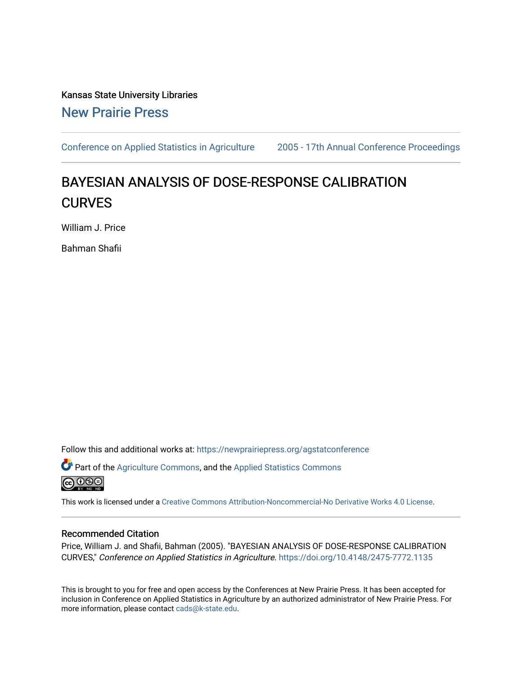Kansas State University Libraries [New Prairie Press](https://newprairiepress.org/) 

[Conference on Applied Statistics in Agriculture](https://newprairiepress.org/agstatconference) [2005 - 17th Annual Conference Proceedings](https://newprairiepress.org/agstatconference/2005) 

# BAYESIAN ANALYSIS OF DOSE-RESPONSE CALIBRATION **CURVES**

William J. Price

Bahman Shafii

Follow this and additional works at: [https://newprairiepress.org/agstatconference](https://newprairiepress.org/agstatconference?utm_source=newprairiepress.org%2Fagstatconference%2F2005%2Fproceedings%2F5&utm_medium=PDF&utm_campaign=PDFCoverPages)

Part of the [Agriculture Commons](http://network.bepress.com/hgg/discipline/1076?utm_source=newprairiepress.org%2Fagstatconference%2F2005%2Fproceedings%2F5&utm_medium=PDF&utm_campaign=PDFCoverPages), and the [Applied Statistics Commons](http://network.bepress.com/hgg/discipline/209?utm_source=newprairiepress.org%2Fagstatconference%2F2005%2Fproceedings%2F5&utm_medium=PDF&utm_campaign=PDFCoverPages)   $\bigcirc$  000

This work is licensed under a [Creative Commons Attribution-Noncommercial-No Derivative Works 4.0 License.](https://creativecommons.org/licenses/by-nc-nd/4.0/)

#### Recommended Citation

Price, William J. and Shafii, Bahman (2005). "BAYESIAN ANALYSIS OF DOSE-RESPONSE CALIBRATION CURVES," Conference on Applied Statistics in Agriculture.<https://doi.org/10.4148/2475-7772.1135>

This is brought to you for free and open access by the Conferences at New Prairie Press. It has been accepted for inclusion in Conference on Applied Statistics in Agriculture by an authorized administrator of New Prairie Press. For more information, please contact [cads@k-state.edu](mailto:cads@k-state.edu).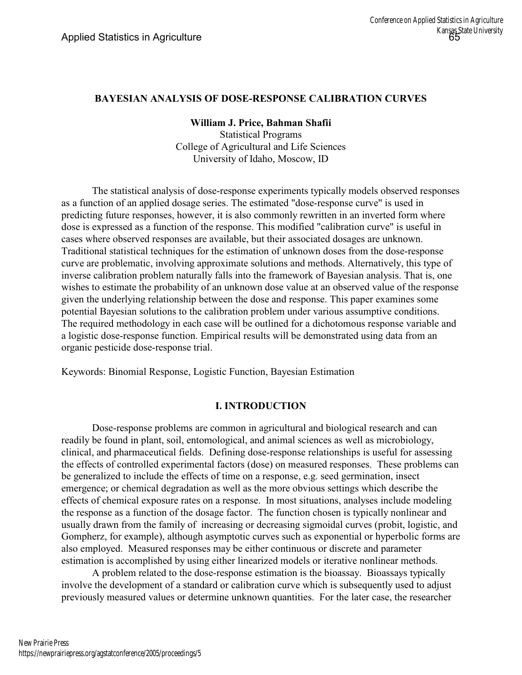# **BAYESIAN ANALYSIS OF DOSE-RESPONSE CALIBRATION CURVES**

**William J. Price, Bahman Shafii**

Statistical Programs College of Agricultural and Life Sciences University of Idaho, Moscow, ID

The statistical analysis of dose-response experiments typically models observed responses as a function of an applied dosage series. The estimated "dose-response curve" is used in predicting future responses, however, it is also commonly rewritten in an inverted form where dose is expressed as a function of the response. This modified "calibration curve" is useful in cases where observed responses are available, but their associated dosages are unknown. Traditional statistical techniques for the estimation of unknown doses from the dose-response curve are problematic, involving approximate solutions and methods. Alternatively, this type of inverse calibration problem naturally falls into the framework of Bayesian analysis. That is, one wishes to estimate the probability of an unknown dose value at an observed value of the response given the underlying relationship between the dose and response. This paper examines some potential Bayesian solutions to the calibration problem under various assumptive conditions. The required methodology in each case will be outlined for a dichotomous response variable and a logistic dose-response function. Empirical results will be demonstrated using data from an organic pesticide dose-response trial.

Keywords: Binomial Response, Logistic Function, Bayesian Estimation

## **I. INTRODUCTION**

Dose-response problems are common in agricultural and biological research and can readily be found in plant, soil, entomological, and animal sciences as well as microbiology, clinical, and pharmaceutical fields. Defining dose-response relationships is useful for assessing the effects of controlled experimental factors (dose) on measured responses. These problems can be generalized to include the effects of time on a response, e.g. seed germination, insect emergence; or chemical degradation as well as the more obvious settings which describe the effects of chemical exposure rates on a response. In most situations, analyses include modeling the response as a function of the dosage factor. The function chosen is typically nonlinear and usually drawn from the family of increasing or decreasing sigmoidal curves (probit, logistic, and Gompherz, for example), although asymptotic curves such as exponential or hyperbolic forms are also employed. Measured responses may be either continuous or discrete and parameter estimation is accomplished by using either linearized models or iterative nonlinear methods.

A problem related to the dose-response estimation is the bioassay. Bioassays typically involve the development of a standard or calibration curve which is subsequently used to adjust previously measured values or determine unknown quantities. For the later case, the researcher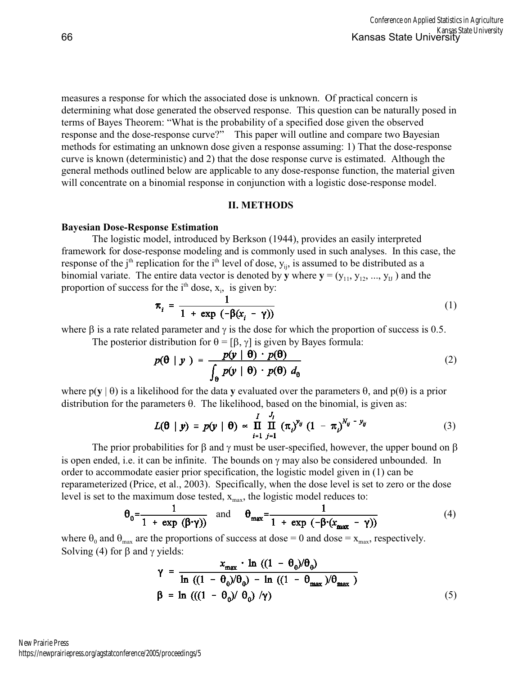measures a response for which the associated dose is unknown. Of practical concern is determining what dose generated the observed response. This question can be naturally posed in terms of Bayes Theorem: "What is the probability of a specified dose given the observed response and the dose-response curve?" This paper will outline and compare two Bayesian methods for estimating an unknown dose given a response assuming: 1) That the dose-response curve is known (deterministic) and 2) that the dose response curve is estimated. Although the general methods outlined below are applicable to any dose-response function, the material given will concentrate on a binomial response in conjunction with a logistic dose-response model.

#### **II. METHODS**

#### **Bayesian Dose-Response Estimation**

The logistic model, introduced by Berkson (1944), provides an easily interpreted framework for dose-response modeling and is commonly used in such analyses. In this case, the response of the j<sup>th</sup> replication for the i<sup>th</sup> level of dose,  $y_{ii}$ , is assumed to be distributed as a binomial variate. The entire data vector is denoted by **y** where  $\mathbf{y} = (y_{11}, y_{12}, ..., y_{II})$  and the proportion of success for the  $i<sup>th</sup>$  dose,  $x_i$ , is given by:

$$
\pi_i = \frac{1}{1 + \exp\left(-\beta(x_i - \gamma)\right)}\tag{1}
$$

where is a rate related parameter and is the dose for which the proportion of success is 0.5. The posterior distribution for  $= [ , ]$  is given by Bayes formula:

$$
p(\theta \mid y) = \frac{p(y \mid \theta) \cdot p(\theta)}{\int_{\theta} p(y \mid \theta) \cdot p(\theta) d_{\theta}}
$$
 (2)

where  $p(y \mid \cdot)$  is a likelihood for the data y evaluated over the parameters , and  $p(\cdot)$  is a prior distribution for the parameters . The likelihood, based on the binomial, is given as:

$$
L(\boldsymbol{\theta} \mid \boldsymbol{y}) = p(\boldsymbol{y} \mid \boldsymbol{\theta}) \propto \prod_{i=1}^{I} \prod_{j=1}^{J_i} (\pi_i)^{y_{ij}} (1 - \pi_i)^{N_{ij} - y_{ij}} \qquad (3)
$$

The prior probabilities for and must be user-specified, however, the upper bound on is open ended, i.e. it can be infinite. The bounds on may also be considered unbounded. In order to accommodate easier prior specification, the logistic model given in (1) can be reparameterized (Price, et al., 2003). Specifically, when the dose level is set to zero or the dose level is set to the maximum dose tested,  $x_{\text{max}}$ , the logistic model reduces to:

$$
\theta_0 = \frac{1}{1 + \exp(\beta \cdot \gamma)} \quad \text{and} \quad \theta_{\text{max}} = \frac{1}{1 + \exp(-\beta \cdot (x_{\text{max}} - \gamma))} \tag{4}
$$

where  $_0$  and  $_{max}$  are the proportions of success at dose = 0 and dose =  $x_{max}$ , respectively. Solving (4) for and yields:

$$
\gamma = \frac{x_{\text{max}} \cdot \ln((1 - \theta_0)/\theta_0)}{\ln((1 - \theta_0)/\theta_0) - \ln((1 - \theta_{\text{max}})/\theta_{\text{max}})}
$$
  

$$
\beta = \ln(((1 - \theta_0)/\theta_0)/\gamma)
$$
 (5)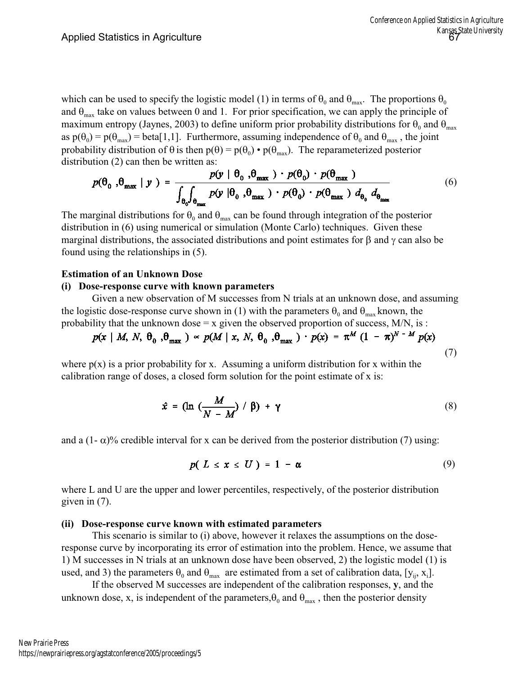which can be used to specify the logistic model (1) in terms of  $_{0}$  and  $_{\text{max}}$ . The proportions  $_{0}$ and  $_{\text{max}}$  take on values between 0 and 1. For prior specification, we can apply the principle of maximum entropy (Jaynes, 2003) to define uniform prior probability distributions for  $_{0}$  and  $_{max}$ as p(  $_0$ ) = p(  $_{max}$ ) = beta[1,1]. Furthermore, assuming independence of  $_0$  and  $_{max}$ , the joint probability distribution of is then  $p() = p()_0 \cdot p()_{max}$ . The reparameterized posterior distribution (2) can then be written as:

$$
p(\theta_0, \theta_{\text{max}} | y) = \frac{p(y | \theta_0, \theta_{\text{max}}) \cdot p(\theta_0) \cdot p(\theta_{\text{max}})}{\int_{\theta_0} \int_{\theta_{\text{max}}} p(y | \theta_0, \theta_{\text{max}}) \cdot p(\theta_0) \cdot p(\theta_{\text{max}}) d_{\theta_0} d_{\theta_{\text{max}}}}
$$
(6)

The marginal distributions for  $_{0}$  and  $_{max}$  can be found through integration of the posterior distribution in (6) using numerical or simulation (Monte Carlo) techniques. Given these marginal distributions, the associated distributions and point estimates for and can also be found using the relationships in (5).

## **Estimation of an Unknown Dose**

#### **(i) Dose-response curve with known parameters**

Given a new observation of M successes from N trials at an unknown dose, and assuming the logistic dose-response curve shown in (1) with the parameters  $_0$  and  $_{max}$  known, the probability that the unknown dose  $= x$  given the observed proportion of success, M/N, is :

$$
p(x \mid M, N, \theta_0, \theta_{\text{max}}) \propto p(M \mid x, N, \theta_0, \theta_{\text{max}}) \cdot p(x) = \pi^M (1 - \pi)^{N-M} p(x)
$$
\n(7)

where  $p(x)$  is a prior probability for x. Assuming a uniform distribution for x within the calibration range of doses, a closed form solution for the point estimate of x is:

$$
\hat{x} = (\ln \left( \frac{M}{N - M} \right) / \beta) + \gamma \tag{8}
$$

and a  $(1 - \frac{1}{2})$ % credible interval for x can be derived from the posterior distribution (7) using:

$$
p(L \leq x \leq U) = 1 - \alpha \tag{9}
$$

where L and U are the upper and lower percentiles, respectively, of the posterior distribution given in (7).

## **(ii) Dose-response curve known with estimated parameters**

This scenario is similar to (i) above, however it relaxes the assumptions on the doseresponse curve by incorporating its error of estimation into the problem. Hence, we assume that 1) M successes in N trials at an unknown dose have been observed, 2) the logistic model (1) is used, and 3) the parameters  $_0$  and  $_{max}$  are estimated from a set of calibration data, [y<sub>ii</sub>, x<sub>i</sub>].

If the observed M successes are independent of the calibration responses, **y**, and the unknown dose, x, is independent of the parameters,  $_0$  and  $_{max}$ , then the posterior density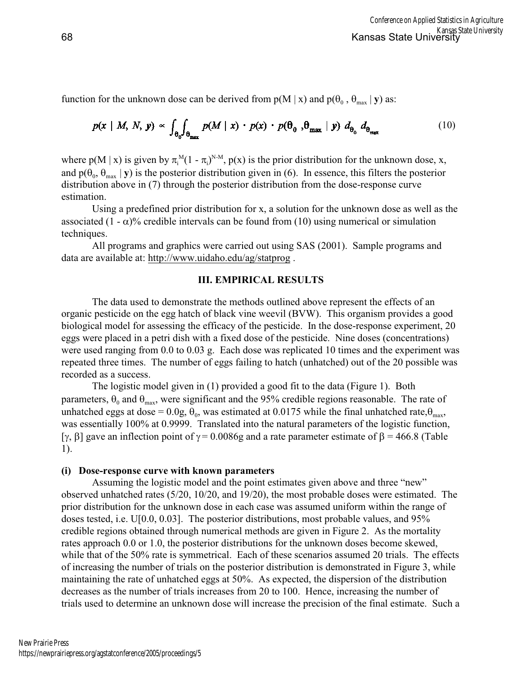function for the unknown dose can be derived from  $p(M | x)$  and  $p( \theta, \theta, \theta)$  as:

$$
p(x \mid M, N, y) \propto \int_{\theta_0} \int_{\theta_{\text{max}}} p(M \mid x) \cdot p(x) \cdot p(\theta_0, \theta_{\text{max}} \mid y) d_{\theta_0} d_{\theta_{\text{max}}} \tag{10}
$$

where  $p(M | x)$  is given by  $\int_{i}^{M} (1 - i)^{N-M}$ ,  $p(x)$  is the prior distribution for the unknown dose, x, and p( $_{0}$ ,  $_{\text{max}}$  | **y**) is the posterior distribution given in (6). In essence, this filters the posterior distribution above in (7) through the posterior distribution from the dose-response curve estimation.

Using a predefined prior distribution for x, a solution for the unknown dose as well as the associated  $(1 - )\%$  credible intervals can be found from (10) using numerical or simulation techniques.

All programs and graphics were carried out using SAS (2001). Sample programs and data are available at:<http://www.uidaho.edu/ag/statprog> .

# **III. EMPIRICAL RESULTS**

The data used to demonstrate the methods outlined above represent the effects of an organic pesticide on the egg hatch of black vine weevil (BVW). This organism provides a good biological model for assessing the efficacy of the pesticide. In the dose-response experiment, 20 eggs were placed in a petri dish with a fixed dose of the pesticide. Nine doses (concentrations) were used ranging from 0.0 to 0.03 g. Each dose was replicated 10 times and the experiment was repeated three times. The number of eggs failing to hatch (unhatched) out of the 20 possible was recorded as a success.

The logistic model given in (1) provided a good fit to the data (Figure 1). Both parameters,  $_0$  and  $_{\text{max}}$ , were significant and the 95% credible regions reasonable. The rate of unhatched eggs at dose =  $0.0g$ ,  $_0$ , was estimated at 0.0175 while the final unhatched rate,  $_{\text{max}}$ , was essentially 100% at 0.9999. Translated into the natural parameters of the logistic function,  $\lceil$ ,  $\rceil$  gave an inflection point of = 0.0086g and a rate parameter estimate of = 466.8 (Table 1).

## **(i) Dose-response curve with known parameters**

Assuming the logistic model and the point estimates given above and three "new" observed unhatched rates (5/20, 10/20, and 19/20), the most probable doses were estimated. The prior distribution for the unknown dose in each case was assumed uniform within the range of doses tested, i.e. U[0.0, 0.03]. The posterior distributions, most probable values, and 95% credible regions obtained through numerical methods are given in Figure 2. As the mortality rates approach 0.0 or 1.0, the posterior distributions for the unknown doses become skewed, while that of the 50% rate is symmetrical. Each of these scenarios assumed 20 trials. The effects of increasing the number of trials on the posterior distribution is demonstrated in Figure 3, while maintaining the rate of unhatched eggs at 50%. As expected, the dispersion of the distribution decreases as the number of trials increases from 20 to 100. Hence, increasing the number of trials used to determine an unknown dose will increase the precision of the final estimate. Such a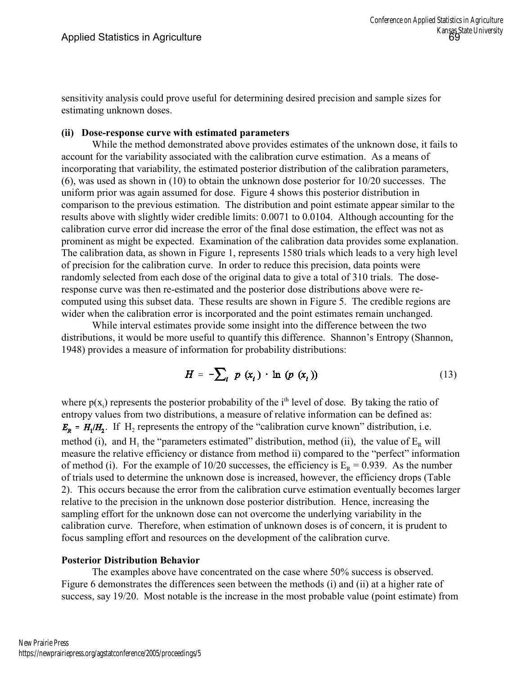sensitivity analysis could prove useful for determining desired precision and sample sizes for estimating unknown doses.

## **(ii) Dose-response curve with estimated parameters**

While the method demonstrated above provides estimates of the unknown dose, it fails to account for the variability associated with the calibration curve estimation. As a means of incorporating that variability, the estimated posterior distribution of the calibration parameters, (6), was used as shown in (10) to obtain the unknown dose posterior for 10/20 successes. The uniform prior was again assumed for dose. Figure 4 shows this posterior distribution in comparison to the previous estimation. The distribution and point estimate appear similar to the results above with slightly wider credible limits: 0.0071 to 0.0104. Although accounting for the calibration curve error did increase the error of the final dose estimation, the effect was not as prominent as might be expected. Examination of the calibration data provides some explanation. The calibration data, as shown in Figure 1, represents 1580 trials which leads to a very high level of precision for the calibration curve. In order to reduce this precision, data points were randomly selected from each dose of the original data to give a total of 310 trials. The doseresponse curve was then re-estimated and the posterior dose distributions above were recomputed using this subset data. These results are shown in Figure 5. The credible regions are wider when the calibration error is incorporated and the point estimates remain unchanged.

While interval estimates provide some insight into the difference between the two distributions, it would be more useful to quantify this difference. Shannon's Entropy (Shannon, 1948) provides a measure of information for probability distributions:

$$
H = -\sum_{i} p(x_i) \cdot \ln (p(x_i)) \tag{13}
$$

where  $p(x_i)$  represents the posterior probability of the i<sup>th</sup> level of dose. By taking the ratio of entropy values from two distributions, a measure of relative information can be defined as: . If  $H_2$  represents the entropy of the "calibration curve known" distribution, i.e. method (i), and H<sub>1</sub> the "parameters estimated" distribution, method (ii), the value of  $E_R$  will measure the relative efficiency or distance from method ii) compared to the "perfect" information of method (i). For the example of 10/20 successes, the efficiency is  $E_R = 0.939$ . As the number of trials used to determine the unknown dose is increased, however, the efficiency drops (Table 2). This occurs because the error from the calibration curve estimation eventually becomes larger relative to the precision in the unknown dose posterior distribution. Hence, increasing the sampling effort for the unknown dose can not overcome the underlying variability in the calibration curve. Therefore, when estimation of unknown doses is of concern, it is prudent to focus sampling effort and resources on the development of the calibration curve.

## **Posterior Distribution Behavior**

The examples above have concentrated on the case where 50% success is observed. Figure 6 demonstrates the differences seen between the methods (i) and (ii) at a higher rate of success, say 19/20. Most notable is the increase in the most probable value (point estimate) from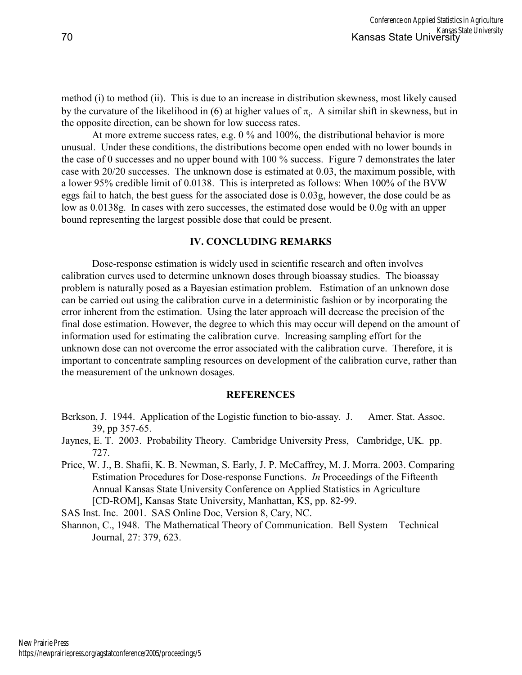method (i) to method (ii). This is due to an increase in distribution skewness, most likely caused by the curvature of the likelihood in  $(6)$  at higher values of  $\mu$ . A similar shift in skewness, but in the opposite direction, can be shown for low success rates.

At more extreme success rates, e.g. 0 % and 100%, the distributional behavior is more unusual. Under these conditions, the distributions become open ended with no lower bounds in the case of 0 successes and no upper bound with 100 % success. Figure 7 demonstrates the later case with 20/20 successes. The unknown dose is estimated at 0.03, the maximum possible, with a lower 95% credible limit of 0.0138. This is interpreted as follows: When 100% of the BVW eggs fail to hatch, the best guess for the associated dose is 0.03g, however, the dose could be as low as 0.0138g. In cases with zero successes, the estimated dose would be 0.0g with an upper bound representing the largest possible dose that could be present.

#### **IV. CONCLUDING REMARKS**

Dose-response estimation is widely used in scientific research and often involves calibration curves used to determine unknown doses through bioassay studies. The bioassay problem is naturally posed as a Bayesian estimation problem. Estimation of an unknown dose can be carried out using the calibration curve in a deterministic fashion or by incorporating the error inherent from the estimation. Using the later approach will decrease the precision of the final dose estimation. However, the degree to which this may occur will depend on the amount of information used for estimating the calibration curve. Increasing sampling effort for the unknown dose can not overcome the error associated with the calibration curve. Therefore, it is important to concentrate sampling resources on development of the calibration curve, rather than the measurement of the unknown dosages.

#### **REFERENCES**

- Berkson, J. 1944. Application of the Logistic function to bio-assay. J. Amer. Stat. Assoc. 39, pp 357-65.
- Jaynes, E. T. 2003. Probability Theory. Cambridge University Press, Cambridge, UK. pp. 727.
- Price, W. J., B. Shafii, K. B. Newman, S. Early, J. P. McCaffrey, M. J. Morra. 2003. Comparing Estimation Procedures for Dose-response Functions. *In* Proceedings of the Fifteenth Annual Kansas State University Conference on Applied Statistics in Agriculture [CD-ROM], Kansas State University, Manhattan, KS, pp. 82-99.

SAS Inst. Inc. 2001. SAS Online Doc, Version 8, Cary, NC.

Shannon, C., 1948. The Mathematical Theory of Communication. Bell System Technical Journal, 27: 379, 623.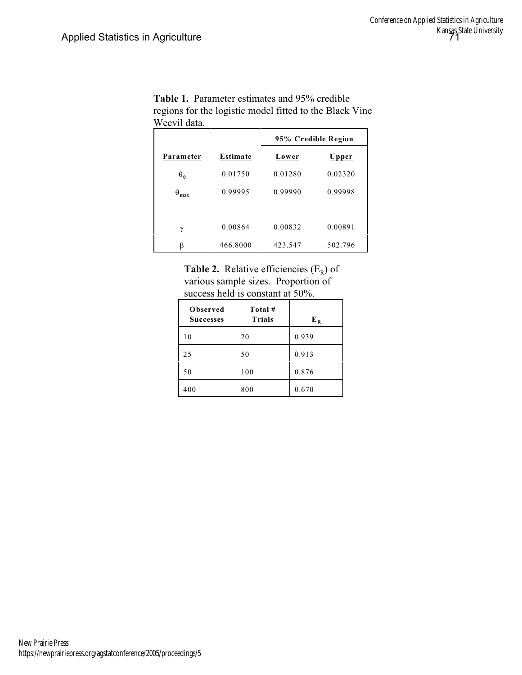|              |          | 95% Credible Region |         |
|--------------|----------|---------------------|---------|
| Parameter    | Estimate | Lower               | Upper   |
| $\mathbf{0}$ | 0.01750  | 0.01280             | 0.02320 |
| max          | 0.99995  | 0.99990             | 0.99998 |
|              |          |                     |         |
|              | 0.00864  | 0.00832             | 0.00891 |
|              | 466.8000 | 423.547             | 502.796 |

**Table 1.** Parameter estimates and 95% credible regions for the logistic model fitted to the Black Vine Weevil data.

**Table 2.** Relative efficiencies  $(E_R)$  of various sample sizes. Proportion of success held is constant at 50%.

| Observed<br><b>Successes</b> | Total#<br><b>Trials</b> | $E_R$ |
|------------------------------|-------------------------|-------|
| 10                           | 20                      | 0.939 |
| 25                           | 50                      | 0.913 |
| 50                           | 100                     | 0.876 |
| 400                          | 800                     | 0.670 |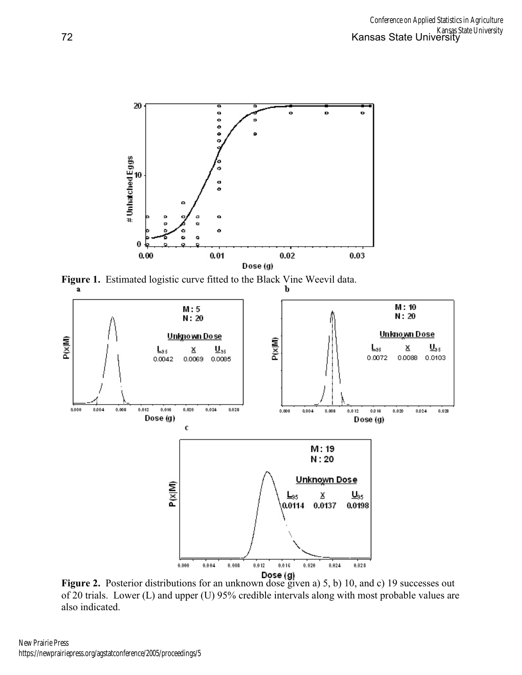

**Figure 1.** Estimated logistic curve fitted to the Black Vine Weevil data.



**Figure 2.** Posterior distributions for an unknown dose given a) 5, b) 10, and c) 19 successes out of 20 trials. Lower (L) and upper (U) 95% credible intervals along with most probable values are also indicated.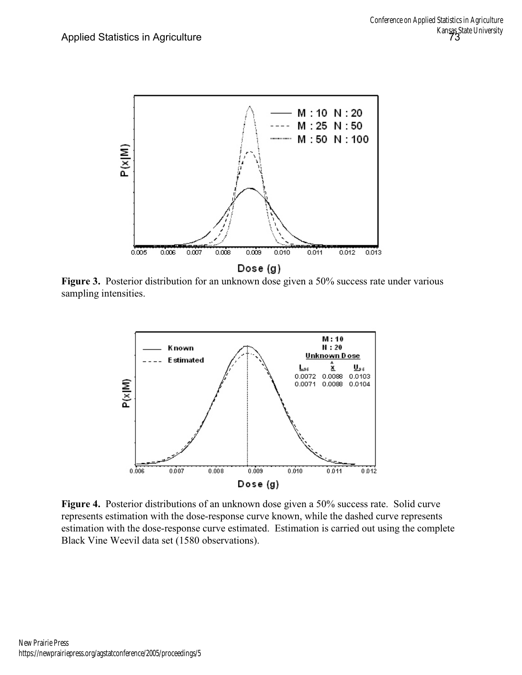

Figure 3. Posterior distribution for an unknown dose given a 50% success rate under various sampling intensities.



**Figure 4.** Posterior distributions of an unknown dose given a 50% success rate. Solid curve represents estimation with the dose-response curve known, while the dashed curve represents estimation with the dose-response curve estimated. Estimation is carried out using the complete Black Vine Weevil data set (1580 observations).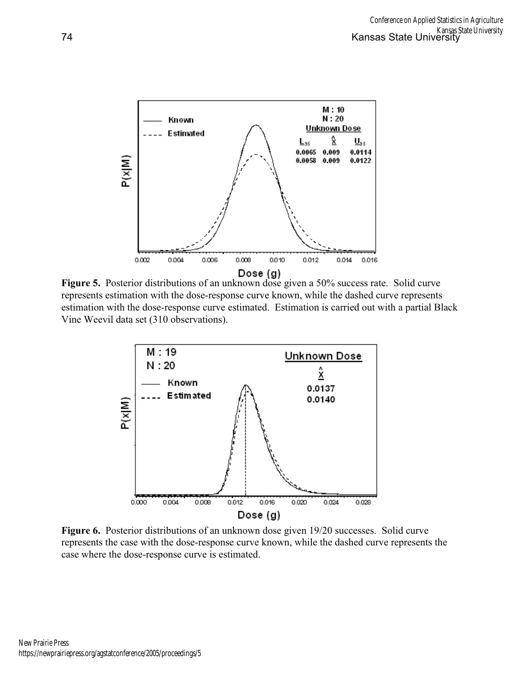

**Figure 5.** Posterior distributions of an unknown dose given a 50% success rate. Solid curve represents estimation with the dose-response curve known, while the dashed curve represents estimation with the dose-response curve estimated. Estimation is carried out with a partial Black Vine Weevil data set (310 observations).



**Figure 6.** Posterior distributions of an unknown dose given 19/20 successes. Solid curve represents the case with the dose-response curve known, while the dashed curve represents the case where the dose-response curve is estimated.